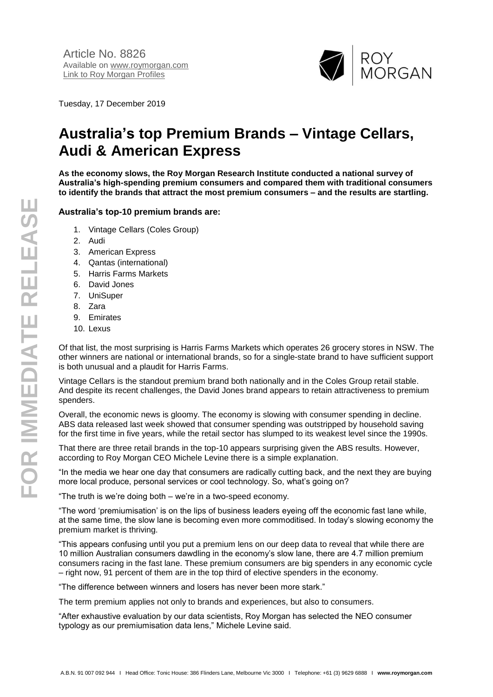

Tuesday, 17 December 2019

## **Australia's top Premium Brands – Vintage Cellars, Audi & American Express**

**As the economy slows, the Roy Morgan Research Institute conducted a national survey of Australia's high-spending premium consumers and compared them with traditional consumers to identify the brands that attract the most premium consumers – and the results are startling.**

## **Australia's top-10 premium brands are:**

- 1. Vintage Cellars (Coles Group)
- 2. Audi
- 3. American Express
- 4. Qantas (international)
- 5. Harris Farms Markets
- 6. David Jones
- 7. UniSuper
- 8. Zara
- 9. Emirates
- 10. Lexus

Of that list, the most surprising is Harris Farms Markets which operates 26 grocery stores in NSW. The other winners are national or international brands, so for a single-state brand to have sufficient support is both unusual and a plaudit for Harris Farms.

Vintage Cellars is the standout premium brand both nationally and in the Coles Group retail stable. And despite its recent challenges, the David Jones brand appears to retain attractiveness to premium spenders.

Overall, the economic news is gloomy. The economy is slowing with consumer spending in decline. ABS data released last week showed that consumer spending was outstripped by household saving for the first time in five years, while the retail sector has slumped to its weakest level since the 1990s.

That there are three retail brands in the top-10 appears surprising given the ABS results. However, according to Roy Morgan CEO Michele Levine there is a simple explanation.

"In the media we hear one day that consumers are radically cutting back, and the next they are buying more local produce, personal services or cool technology. So, what's going on?

"The truth is we're doing both – we're in a two-speed economy.

"The word 'premiumisation' is on the lips of business leaders eyeing off the economic fast lane while, at the same time, the slow lane is becoming even more commoditised. In today's slowing economy the premium market is thriving.

"This appears confusing until you put a premium lens on our deep data to reveal that while there are 10 million Australian consumers dawdling in the economy's slow lane, there are 4.7 million premium consumers racing in the fast lane. These premium consumers are big spenders in any economic cycle – right now, 91 percent of them are in the top third of elective spenders in the economy.

"The difference between winners and losers has never been more stark."

The term premium applies not only to brands and experiences, but also to consumers.

"After exhaustive evaluation by our data scientists, Roy Morgan has selected the NEO consumer typology as our premiumisation data lens," Michele Levine said.